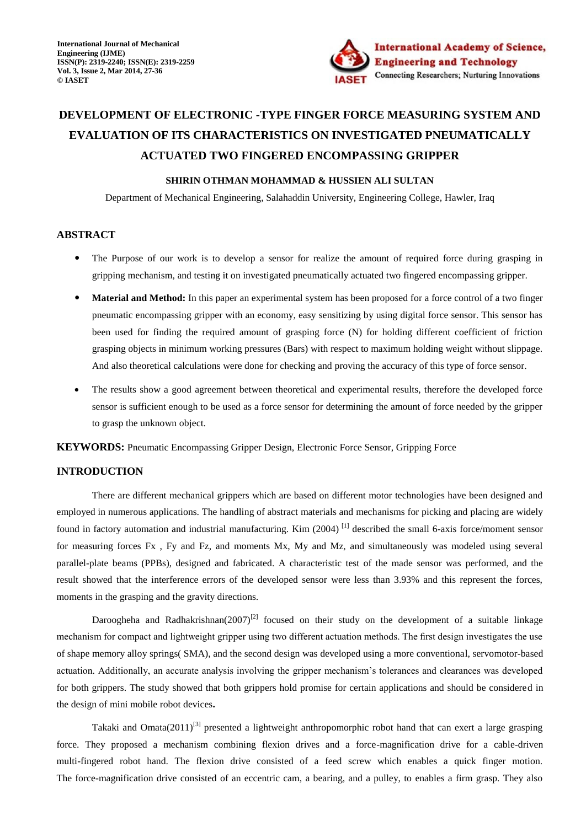

# **DEVELOPMENT OF ELECTRONIC -TYPE FINGER FORCE MEASURING SYSTEM AND EVALUATION OF ITS CHARACTERISTICS ON INVESTIGATED PNEUMATICALLY ACTUATED TWO FINGERED ENCOMPASSING GRIPPER**

## **SHIRIN OTHMAN MOHAMMAD & HUSSIEN ALI SULTAN**

Department of Mechanical Engineering, Salahaddin University, Engineering College, Hawler, Iraq

## **ABSTRACT**

- The Purpose of our work is to develop a sensor for realize the amount of required force during grasping in gripping mechanism, and testing it on investigated pneumatically actuated two fingered encompassing gripper.
- **Material and Method:** In this paper an experimental system has been proposed for a force control of a two finger pneumatic encompassing gripper with an economy, easy sensitizing by using digital force sensor. This sensor has been used for finding the required amount of grasping force (N) for holding different coefficient of friction grasping objects in minimum working pressures (Bars) with respect to maximum holding weight without slippage. And also theoretical calculations were done for checking and proving the accuracy of this type of force sensor.
- The results show a good agreement between theoretical and experimental results, therefore the developed force sensor is sufficient enough to be used as a force sensor for determining the amount of force needed by the gripper to grasp the unknown object.

**KEYWORDS:** Pneumatic Encompassing Gripper Design, Electronic Force Sensor, Gripping Force

## **INTRODUCTION**

There are different mechanical grippers which are based on different motor technologies have been designed and employed in numerous applications. The handling of abstract materials and mechanisms for picking and placing are widely found in factory automation and industrial manufacturing. Kim (2004)<sup>[1]</sup> described the small 6-axis force/moment sensor for measuring forces Fx , Fy and Fz, and moments Mx, My and Mz, and simultaneously was modeled using several parallel-plate beams (PPBs), designed and fabricated. A characteristic test of the made sensor was performed, and the result showed that the interference errors of the developed sensor were less than 3.93% and this represent the forces, moments in the grasping and the gravity directions.

Daroogheha and Radhakrishnan(2007)<sup>[2]</sup> focused on their study on the development of a suitable linkage mechanism for compact and lightweight gripper using two different actuation methods. The first design investigates the use of shape memory alloy springs( SMA), and the second design was developed using a more conventional, servomotor-based actuation. Additionally, an accurate analysis involving the gripper mechanism's tolerances and clearances was developed for both grippers. The study showed that both grippers hold promise for certain applications and should be considered in the design of mini mobile robot devices**.** 

Takaki and Omata(2011)<sup>[3]</sup> presented a lightweight anthropomorphic robot hand that can exert a large grasping force. They proposed a mechanism combining flexion drives and a force-magnification drive for a cable-driven multi-fingered robot hand. The flexion drive consisted of a feed screw which enables a quick finger motion. The force-magnification drive consisted of an eccentric cam, a bearing, and a pulley, to enables a firm grasp. They also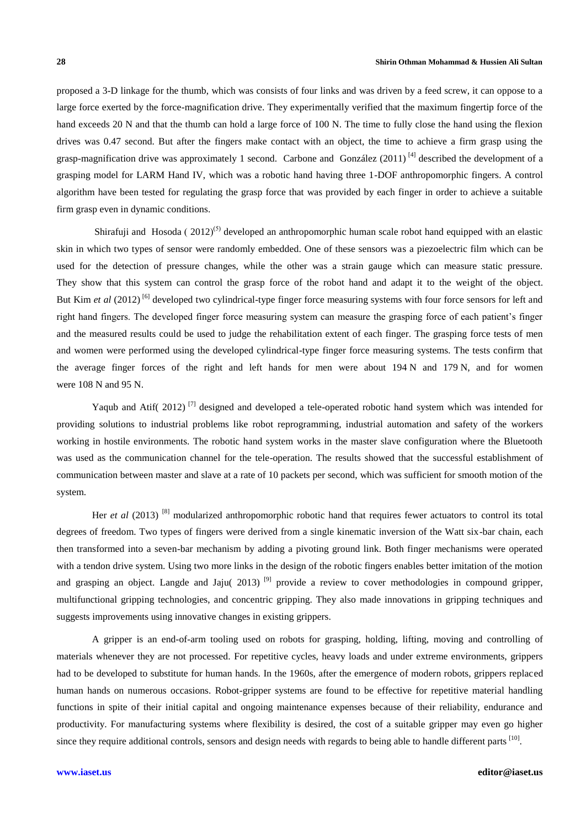proposed a 3-D linkage for the thumb, which was consists of four links and was driven by a feed screw, it can oppose to a large force exerted by the force-magnification drive. They experimentally verified that the maximum fingertip force of the hand exceeds 20 N and that the thumb can hold a large force of 100 N. The time to fully close the hand using the flexion drives was 0.47 second. But after the fingers make contact with an object, the time to achieve a firm grasp using the grasp-magnification drive was approximately 1 second. [Carbone](http://www.sciencedirect.com/science/article/pii/S0736584510001237) and [González](http://www.sciencedirect.com/science/article/pii/S0736584510001237) (2011)  $^{[4]}$  described the development of a grasping model for LARM Hand IV, which was a robotic hand having three 1-DOF anthropomorphic fingers. A control algorithm have been tested for regulating the grasp force that was provided by each finger in order to achieve a suitable firm grasp even in dynamic conditions.

[Shirafuji](http://www.sciencedirect.com/science/article/pii/S0921889012001200) and [Hosoda](http://www.sciencedirect.com/science/article/pii/S0921889012001200) ( $2012$ <sup>(5)</sup> developed an anthropomorphic human scale robot hand equipped with an elastic skin in which two types of sensor were randomly embedded. One of these sensors was a piezoelectric film which can be used for the detection of pressure changes, while the other was a strain gauge which can measure static pressure. They show that this system can control the grasp force of the robot hand and adapt it to the weight of the object. But [Kim](http://www.sciencedirect.com/science/article/pii/S0888327011003827) *et al* (2012)<sup>[6]</sup> developed two cylindrical-type finger force measuring systems with four force sensors for left and right hand fingers. The developed finger force measuring system can measure the grasping force of each patient's finger and the measured results could be used to judge the rehabilitation extent of each finger. The grasping force tests of men and women were performed using the developed cylindrical-type finger force measuring systems. The tests confirm that the average finger forces of the right and left hands for men were about 194 N and 179 N, and for women were 108 N and 95 N.

Yaqub and Atif( 2012)<sup>[7]</sup> designed and developed a tele-operated robotic hand system which was intended for providing solutions to industrial problems like robot reprogramming, industrial automation and safety of the workers working in hostile environments. The robotic hand system works in the master slave configuration where the Bluetooth was used as the communication channel for the tele-operation. The results showed that the successful establishment of communication between master and slave at a rate of 10 packets per second, which was sufficient for smooth motion of the system.

Her *et al* (2013)<sup>[8]</sup> modularized anthropomorphic robotic hand that requires fewer actuators to control its total degrees of freedom. Two types of fingers were derived from a single kinematic inversion of the Watt six-bar chain, each then transformed into a seven-bar mechanism by adding a pivoting ground link. Both finger mechanisms were operated with a tendon drive system. Using two more links in the design of the robotic fingers enables better imitation of the motion and grasping an object. Langde and Jaju( 2013)<sup>[9]</sup> provide a review to cover methodologies in compound gripper, multifunctional gripping technologies, and concentric gripping. They also made innovations in gripping techniques and suggests improvements using innovative changes in existing grippers.

A gripper is an end-of-arm tooling used on robots for grasping, holding, lifting, moving and controlling of materials whenever they are not processed. For repetitive cycles, heavy loads and under extreme environments, grippers had to be developed to substitute for human hands. In the 1960s, after the emergence of modern robots, grippers replaced human hands on numerous occasions. Robot-gripper systems are found to be effective for repetitive material handling functions in spite of their initial capital and ongoing maintenance expenses because of their reliability, endurance and productivity. For manufacturing systems where flexibility is desired, the cost of a suitable gripper may even go higher since they require additional controls, sensors and design needs with regards to being able to handle different parts [10].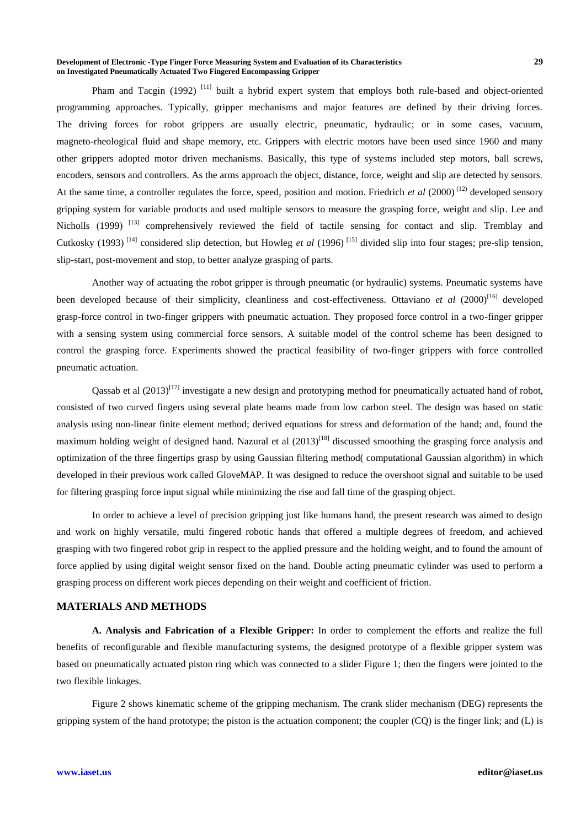#### **Development of Electronic -Type Finger Force Measuring System and Evaluation of its Characteristics 29 on Investigated Pneumatically Actuated Two Fingered Encompassing Gripper**

Pham and Tacgin (1992)<sup>[11]</sup> built a hybrid expert system that employs both rule-based and object-oriented programming approaches. Typically, gripper mechanisms and major features are defined by their driving forces. The driving forces for robot grippers are usually electric, pneumatic, hydraulic; or in some cases, vacuum, magneto-rheological fluid and shape memory, etc. Grippers with electric motors have been used since 1960 and many other grippers adopted motor driven mechanisms. Basically, this type of systems included step motors, ball screws, encoders, sensors and controllers. As the arms approach the object, distance, force, weight and slip are detected by sensors. At the same time, a controller regulates the force, speed, position and motion. Friedrich *et al* (2000) (12) developed sensory gripping system for variable products and used multiple sensors to measure the grasping force, weight and slip. Lee and Nicholls (1999)<sup>[13]</sup> comprehensively reviewed the field of tactile sensing for contact and slip. Tremblay and Cutkosky (1993)<sup>[14]</sup> considered slip detection, but Howleg *et al* (1996)<sup>[15]</sup> divided slip into four stages; pre-slip tension, slip-start, post-movement and stop, to better analyze grasping of parts.

Another way of actuating the robot gripper is through pneumatic (or hydraulic) systems. Pneumatic systems have been developed because of their simplicity, cleanliness and cost-effectiveness. Ottaviano *et al* (2000)<sup>[16]</sup> developed grasp-force control in two-finger grippers with pneumatic actuation. They proposed force control in a two-finger gripper with a sensing system using commercial force sensors. A suitable model of the control scheme has been designed to control the grasping force. Experiments showed the practical feasibility of two-finger grippers with force controlled pneumatic actuation.

Qassab et al  $(2013)^{[17]}$  investigate a new design and prototyping method for pneumatically actuated hand of robot, consisted of two curved fingers using several plate beams made from low carbon steel. The design was based on static analysis using non-linear finite element method; derived equations for stress and deformation of the hand; and, found the maximum holding weight of designed hand. Nazural et al  $(2013)^{[18]}$  discussed smoothing the grasping force analysis and optimization of the three fingertips grasp by using Gaussian filtering method( computational Gaussian algorithm) in which developed in their previous work called GloveMAP. It was designed to reduce the overshoot signal and suitable to be used for filtering grasping force input signal while minimizing the rise and fall time of the grasping object.

In order to achieve a level of precision gripping just like humans hand, the present research was aimed to design and work on highly versatile, multi fingered robotic hands that offered a multiple degrees of freedom, and achieved grasping with two fingered robot grip in respect to the applied pressure and the holding weight, and to found the amount of force applied by using digital weight sensor fixed on the hand. Double acting pneumatic cylinder was used to perform a grasping process on different work pieces depending on their weight and coefficient of friction.

# **MATERIALS AND METHODS**

**A. Analysis and Fabrication of a Flexible Gripper:** In order to complement the efforts and realize the full benefits of reconfigurable and flexible manufacturing systems, the designed prototype of a flexible gripper system was based on pneumatically actuated piston ring which was connected to a slider Figure 1; then the fingers were jointed to the two flexible linkages.

Figure 2 shows kinematic scheme of the gripping mechanism. The crank slider mechanism (DEG) represents the gripping system of the hand prototype; the piston is the actuation component; the coupler  $(CQ)$  is the finger link; and  $(L)$  is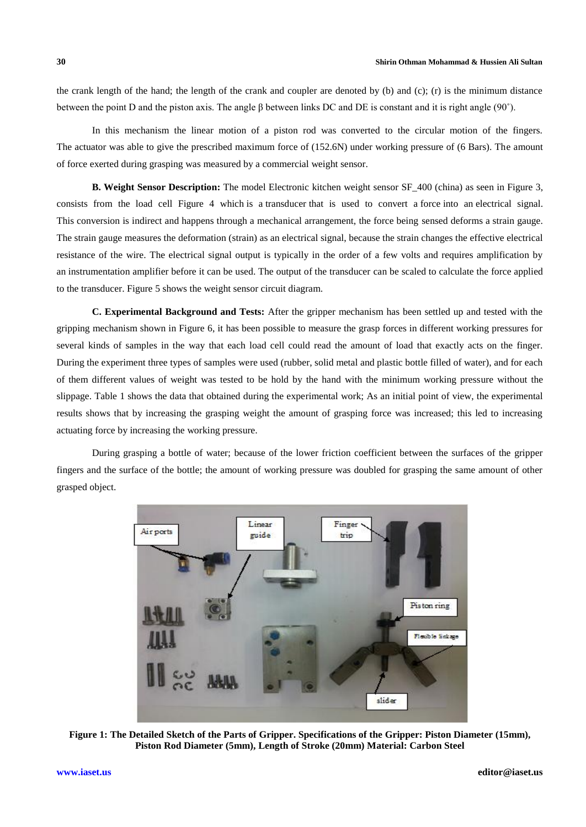the crank length of the hand; the length of the crank and coupler are denoted by (b) and (c); (r) is the minimum distance between the point D and the piston axis. The angle β between links DC and DE is constant and it is right angle (90˚).

In this mechanism the linear motion of a piston rod was converted to the circular motion of the fingers. The actuator was able to give the prescribed maximum force of (152.6N) under working pressure of (6 Bars). The amount of force exerted during grasping was measured by a commercial weight sensor.

**B. Weight Sensor Description:** The model Electronic kitchen weight sensor SF 400 (china) as seen in Figure 3, consists from the load cell Figure 4 which is a [transducer](http://en.wikipedia.org/wiki/Transducer) that is used to convert a [force](http://en.wikipedia.org/wiki/Force) into an [electrical signal.](http://en.wikipedia.org/wiki/Electrical_signal) This conversion is indirect and happens through a mechanical arrangement, the force being sensed deforms a [strain gauge.](http://en.wikipedia.org/wiki/Strain_gauge) The strain gauge measures the deformation [\(strain\)](http://en.wikipedia.org/wiki/Strain_(materials_science)) as an electrical signal, because the strain changes the effective electrical resistance of the wire. The electrical signal output is typically in the order of a few volts and requires amplification by an [instrumentation amplifier](http://en.wikipedia.org/wiki/Instrumentation_amplifier) before it can be used. The output of the transducer can be scaled to calculate the force applied to the transducer. Figure 5 shows the weight sensor circuit diagram.

**C. Experimental Background and Tests:** After the gripper mechanism has been settled up and tested with the gripping mechanism shown in Figure 6, it has been possible to measure the grasp forces in different working pressures for several kinds of samples in the way that each load cell could read the amount of load that exactly acts on the finger. During the experiment three types of samples were used (rubber, solid metal and plastic bottle filled of water), and for each of them different values of weight was tested to be hold by the hand with the minimum working pressure without the slippage. Table 1 shows the data that obtained during the experimental work; As an initial point of view, the experimental results shows that by increasing the grasping weight the amount of grasping force was increased; this led to increasing actuating force by increasing the working pressure.

During grasping a bottle of water; because of the lower friction coefficient between the surfaces of the gripper fingers and the surface of the bottle; the amount of working pressure was doubled for grasping the same amount of other grasped object.



**Figure 1: The Detailed Sketch of the Parts of Gripper. Specifications of the Gripper: Piston Diameter (15mm), Piston Rod Diameter (5mm), Length of Stroke (20mm) Material: Carbon Steel**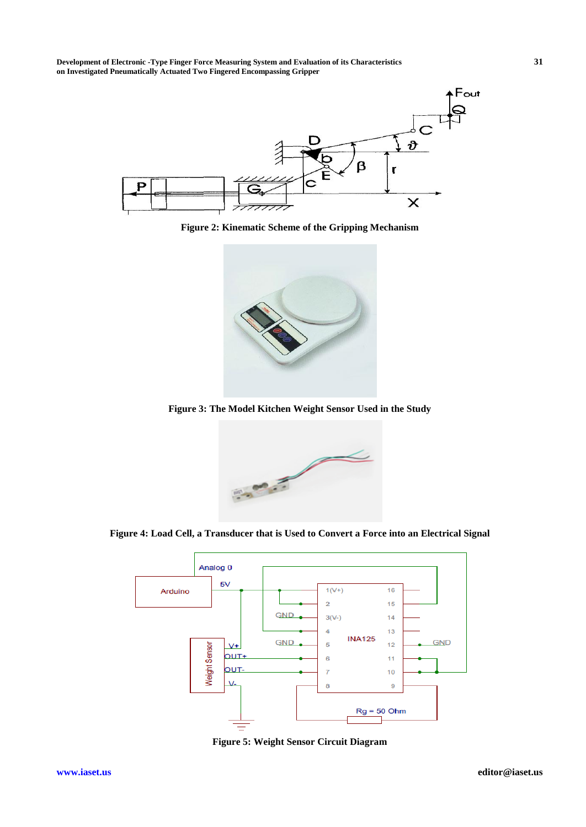**Development of Electronic -Type Finger Force Measuring System and Evaluation of its Characteristics 31 on Investigated Pneumatically Actuated Two Fingered Encompassing Gripper**



**Figure 2: Kinematic Scheme of the Gripping Mechanism**



**Figure 3: The Model Kitchen Weight Sensor Used in the Study**



**Figure 4: Load Cell, a [Transducer](http://en.wikipedia.org/wiki/Transducer) that is Used to Convert a [Force](http://en.wikipedia.org/wiki/Force) into an [Electrical Signal](http://en.wikipedia.org/wiki/Electrical_signal)**



**Figure 5: Weight Sensor Circuit Diagram**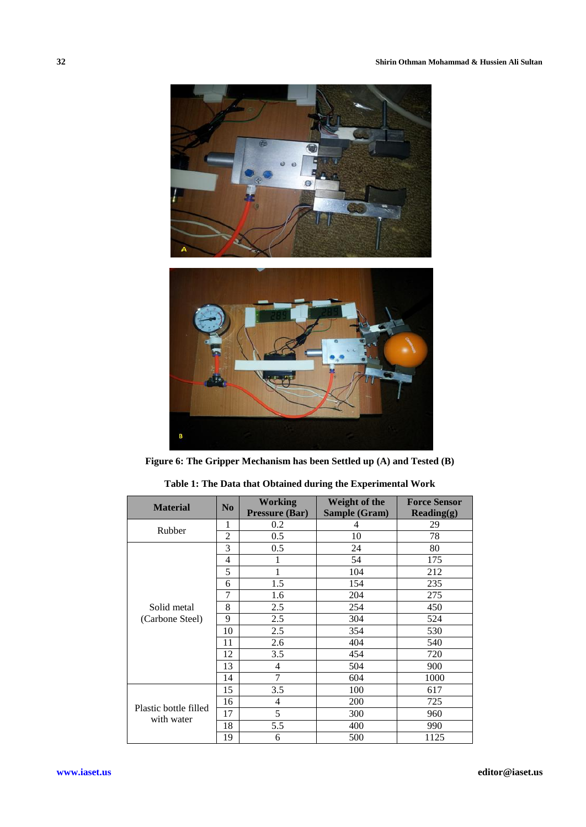

**Figure 6: The Gripper Mechanism has been Settled up (A) and Tested (B)**

| <b>Material</b>                     | N <sub>0</sub> | Working<br><b>Pressure (Bar)</b> | Weight of the<br>Sample (Gram) | <b>Force Sensor</b><br>$\textbf{Reading}(g)$ |
|-------------------------------------|----------------|----------------------------------|--------------------------------|----------------------------------------------|
| Rubber                              | 1              | 0.2                              | 4                              | 29                                           |
|                                     | $\overline{2}$ | 0.5                              | 10                             | 78                                           |
| Solid metal<br>(Carbone Steel)      | 3              | 0.5                              | 24                             | 80                                           |
|                                     | $\overline{4}$ | 1                                | 54                             | 175                                          |
|                                     | 5              | 1                                | 104                            | 212                                          |
|                                     | 6              | 1.5                              | 154                            | 235                                          |
|                                     | 7              | 1.6                              | 204                            | 275                                          |
|                                     | 8              | 2.5                              | 254                            | 450                                          |
|                                     | 9              | 2.5                              | 304                            | 524                                          |
|                                     | 10             | 2.5                              | 354                            | 530                                          |
|                                     | 11             | 2.6                              | 404                            | 540                                          |
|                                     | 12             | 3.5                              | 454                            | 720                                          |
|                                     | 13             | 4                                | 504                            | 900                                          |
|                                     | 14             | 7                                | 604                            | 1000                                         |
| Plastic bottle filled<br>with water | 15             | 3.5                              | 100                            | 617                                          |
|                                     | 16             | 4                                | 200                            | 725                                          |
|                                     | 17             | 5                                | 300                            | 960                                          |
|                                     | 18             | 5.5                              | 400                            | 990                                          |
|                                     | 19             | 6                                | 500                            | 1125                                         |

**Table 1: The Data that Obtained during the Experimental Work**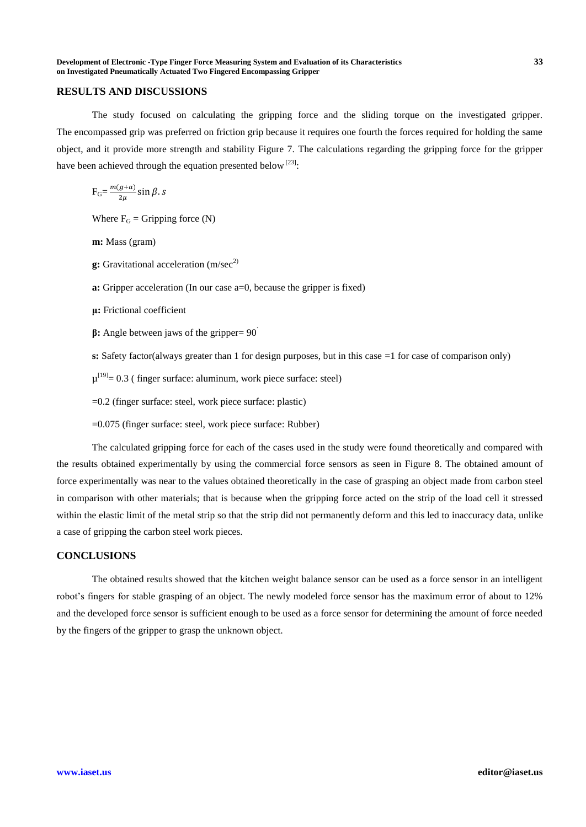## **RESULTS AND DISCUSSIONS**

The study focused on calculating the gripping force and the sliding torque on the investigated gripper. The encompassed grip was preferred on friction grip because it requires one fourth the forces required for holding the same object, and it provide more strength and stability Figure 7. The calculations regarding the gripping force for the gripper have been achieved through the equation presented below  $[23]$ :

 $F_G = \frac{m}{2}$  $\frac{g+u}{2\mu}$ S

Where  $F_G$  = Gripping force (N)

**m:** Mass (gram)

- **g:** Gravitational acceleration (m/sec<sup>2)</sup>
- **a:** Gripper acceleration (In our case a=0, because the gripper is fixed)
- **μ:** Frictional coefficient
- **β:** Angle between jaws of the gripper= 90˚
- **s:** Safety factor(always greater than 1 for design purposes, but in this case =1 for case of comparison only)
- $\mu^{[19]}$  = 0.3 (finger surface: aluminum, work piece surface: steel)
- =0.2 (finger surface: steel, work piece surface: plastic)
- =0.075 (finger surface: steel, work piece surface: Rubber)

The calculated gripping force for each of the cases used in the study were found theoretically and compared with the results obtained experimentally by using the commercial force sensors as seen in Figure 8. The obtained amount of force experimentally was near to the values obtained theoretically in the case of grasping an object made from carbon steel in comparison with other materials; that is because when the gripping force acted on the strip of the load cell it stressed within the elastic limit of the metal strip so that the strip did not permanently deform and this led to inaccuracy data, unlike a case of gripping the carbon steel work pieces.

# **CONCLUSIONS**

The obtained results showed that the kitchen weight balance sensor can be used as a force sensor in an intelligent robot's fingers for stable grasping of an object. The newly modeled force sensor has the maximum error of about to 12% and the developed force sensor is sufficient enough to be used as a force sensor for determining the amount of force needed by the fingers of the gripper to grasp the unknown object.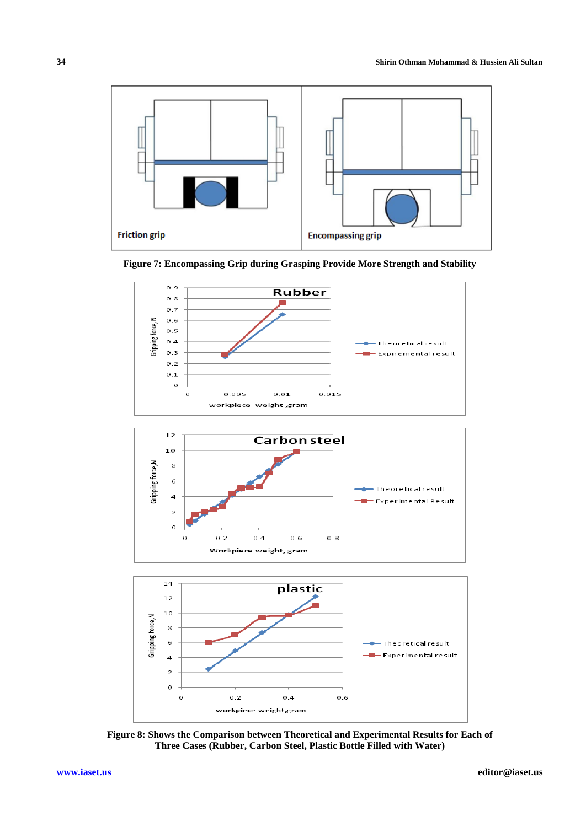





**Figure 8: Shows the Comparison between Theoretical and Experimental Results for Each of Three Cases (Rubber, Carbon Steel, Plastic Bottle Filled with Water)**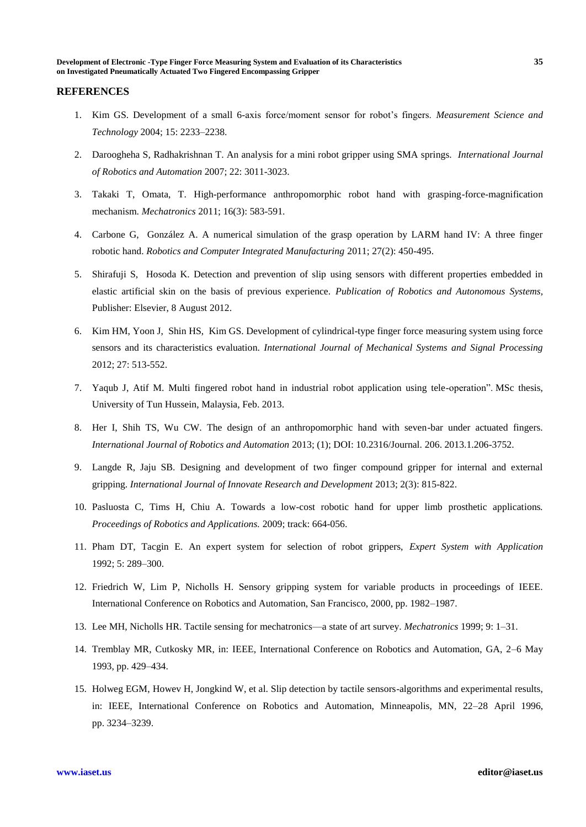#### **REFERENCES**

- 1. Kim GS. Development of a small 6-axis force/moment sensor for robot's fingers. *Measurement Science and Technology* 2004; 15: 2233–2238.
- 2. Daroogheha S, Radhakrishnan T. An analysis for a mini robot gripper using SMA springs. *[International Journal](http://www.actapress.com/Content_Of_Journal.aspx?JournalID=96)  [of Robotics and Automation](http://www.actapress.com/Content_Of_Journal.aspx?JournalID=96)* 2007; 22: 3011-3023.
- 3. [Takaki T,](http://ieeexplore.ieee.org/search/searchresult.jsp?searchWithin=p_Authors:.QT.Takaki,%20T..QT.&searchWithin=p_Author_Ids:37281345000&newsearch=true) [Omata, T.](http://ieeexplore.ieee.org/search/searchresult.jsp?searchWithin=p_Authors:.QT.Omata,%20T..QT.&searchWithin=p_Author_Ids:37281350700&newsearch=true) High-performance anthropomorphic robot hand with grasping-force-magnification mechanism. *[Mechatronics](http://ieeexplore.ieee.org/xpl/RecentIssue.jsp?punumber=3516)* 2011; 16(3): 583-591.
- 4. [Carbone](http://www.sciencedirect.com/science/article/pii/S0736584510001237) G, [González](http://www.sciencedirect.com/science/article/pii/S0736584510001237) A. A numerical simulation of the grasp operation by LARM hand IV: A three finger robotic hand. *Robotics and Computer Integrated Manufacturing* 2011; 27(2): 450-495.
- 5. [Shirafuji](http://www.sciencedirect.com/science/article/pii/S0921889012001200) S, [Hosoda](http://www.sciencedirect.com/science/article/pii/S0921889012001200) K. Detection and prevention of slip using sensors with different properties embedded in elastic artificial skin on the basis of previous experience. *Publication of Robotics and Autonomous Systems,*  Publisher: Elsevier, 8 August 2012.
- 6. [Kim](http://www.sciencedirect.com/science/article/pii/S0888327011003827) HM, [Yoon](http://www.sciencedirect.com/science/article/pii/S0888327011003827) J, [Shin](http://www.sciencedirect.com/science/article/pii/S0888327011003827) HS, [Kim](http://www.sciencedirect.com/science/article/pii/S0888327011003827) GS. Development of cylindrical-type finger force measuring system using force sensors and its characteristics evaluation. *International Journal of Mechanical Systems and Signal Processing* 2012; 27: 513-552.
- 7. Yaqub J, Atif M. Multi fingered robot hand in industrial robot application using tele-operation". MSc thesis, University of Tun Hussein, Malaysia, Feb. 2013.
- 8. Her I, Shih TS, Wu CW. The design of an anthropomorphic hand with seven-bar under actuated fingers. *International Journal of Robotics and Automation* 2013; (1); DOI: 10.2316/Journal. 206. 2013.1.206-3752.
- 9. Langde R, Jaju SB. Designing and development of two finger compound gripper for internal and external gripping. *International Journal of Innovate Research and Development* 2013; 2(3): 815-822.
- 10. Pasluosta C, Tims H, Chiu A. Towards a low-cost robotic hand for upper limb prosthetic applications*. Proceedings of Robotics and Applications.* 2009; track: 664-056.
- 11. Pham DT, Tacgin E. An expert system for selection of robot grippers, *Expert System with Application*  1992; 5: 289–300.
- 12. Friedrich W, Lim P, Nicholls H. Sensory gripping system for variable products in proceedings of IEEE. International Conference on Robotics and Automation, San Francisco, 2000, pp. 1982–1987.
- 13. Lee MH, Nicholls HR. Tactile sensing for mechatronics—a state of art survey. *Mechatronics* 1999; 9: 1–31.
- 14. Tremblay MR, Cutkosky MR, in: IEEE, International Conference on Robotics and Automation, GA, 2–6 May 1993, pp. 429–434.
- 15. Holweg EGM, Howev H, Jongkind W, et al. Slip detection by tactile sensors-algorithms and experimental results, in: IEEE, International Conference on Robotics and Automation, Minneapolis, MN, 22–28 April 1996, pp. 3234–3239.